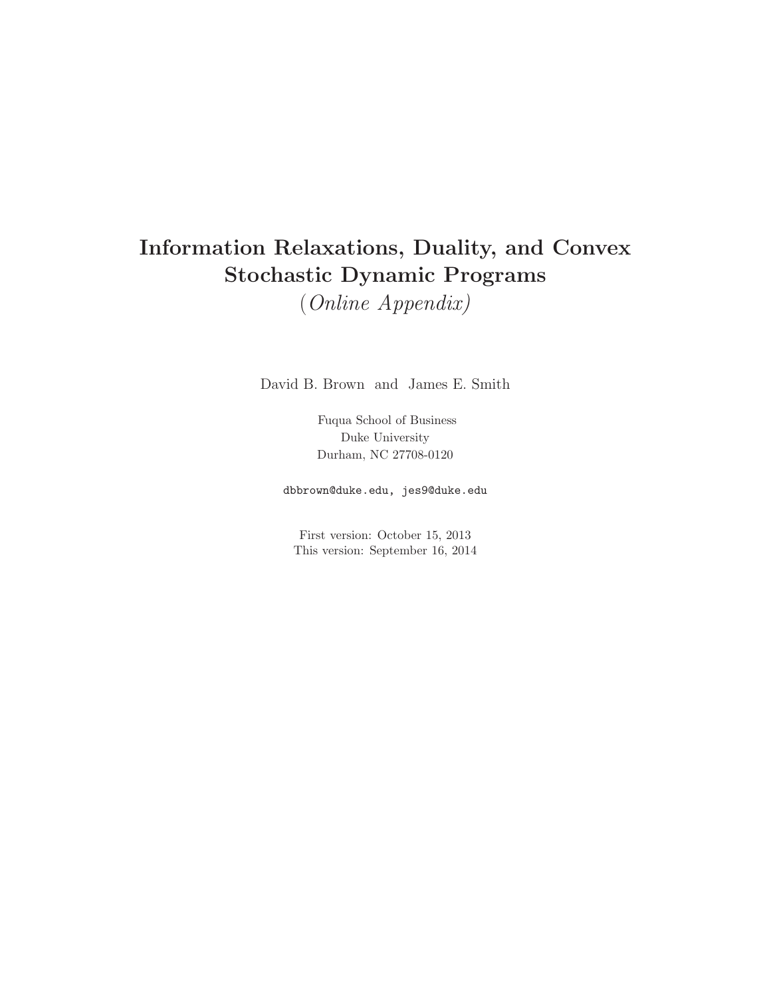# **Information Relaxations, Duality, and Convex Stochastic Dynamic Programs**

(Online Appendix)

David B. Brown and James E. Smith

Fuqua School of Business Duke University Durham, NC 27708-0120

dbbrown@duke.edu, jes9@duke.edu

First version: October 15, 2013 This version: September 16, 2014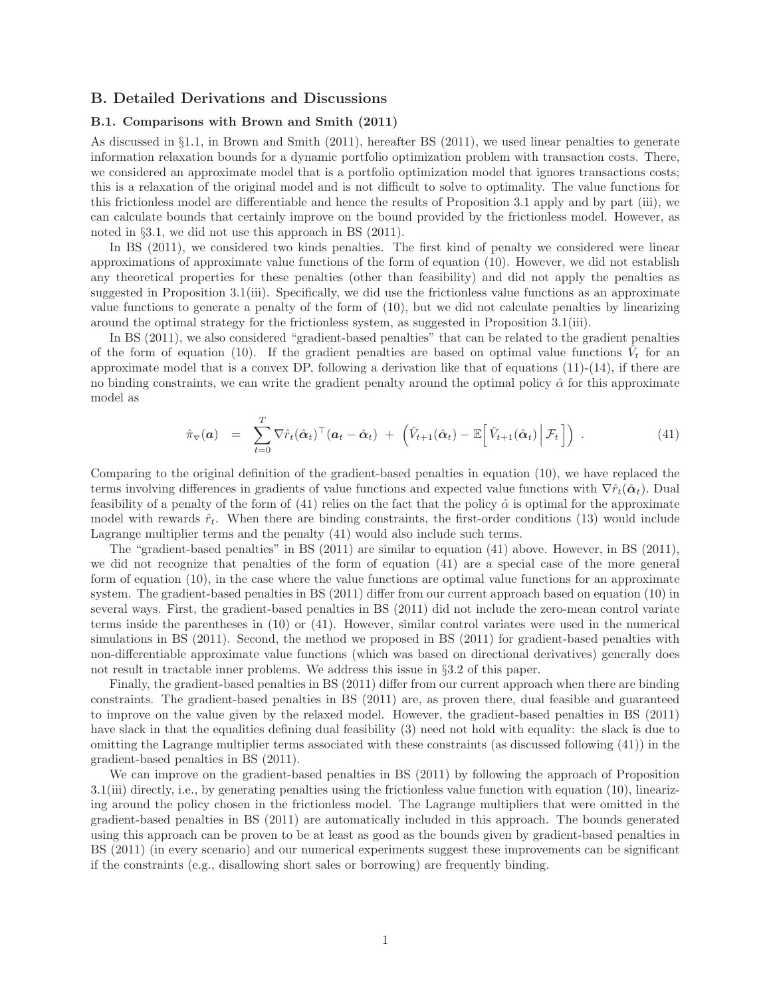# **B. Detailed Derivations and Discussions**

### **B.1. Comparisons with Brown and Smith (2011)**

As discussed in §1.1, in Brown and Smith (2011), hereafter BS (2011), we used linear penalties to generate information relaxation bounds for a dynamic portfolio optimization problem with transaction costs. There, we considered an approximate model that is a portfolio optimization model that ignores transactions costs; this is a relaxation of the original model and is not difficult to solve to optimality. The value functions for this frictionless model are differentiable and hence the results of Proposition 3.1 apply and by part (iii), we can calculate bounds that certainly improve on the bound provided by the frictionless model. However, as noted in §3.1, we did not use this approach in BS (2011).

In BS (2011), we considered two kinds penalties. The first kind of penalty we considered were linear approximations of approximate value functions of the form of equation (10). However, we did not establish any theoretical properties for these penalties (other than feasibility) and did not apply the penalties as suggested in Proposition 3.1(iii). Specifically, we did use the frictionless value functions as an approximate value functions to generate a penalty of the form of (10), but we did not calculate penalties by linearizing around the optimal strategy for the frictionless system, as suggested in Proposition 3.1(iii).

In BS (2011), we also considered "gradient-based penalties" that can be related to the gradient penalties of the form of equation (10). If the gradient penalties are based on optimal value functions  $V_t$  for an approximate model that is a convex DP, following a derivation like that of equations  $(11)-(14)$ , if there are no binding constraints, we can write the gradient penalty around the optimal policy  $\hat{\alpha}$  for this approximate model as

$$
\hat{\pi}_{\nabla}(\boldsymbol{a}) = \sum_{t=0}^{T} \nabla \hat{r}_t (\hat{\boldsymbol{\alpha}}_t)^{\top} (\boldsymbol{a}_t - \hat{\boldsymbol{\alpha}}_t) + \left( \hat{V}_{t+1} (\hat{\boldsymbol{\alpha}}_t) - \mathbb{E} \left[ \hat{V}_{t+1} (\hat{\boldsymbol{\alpha}}_t) \Big| \mathcal{F}_t \right] \right) . \tag{41}
$$

Comparing to the original definition of the gradient-based penalties in equation (10), we have replaced the terms involving differences in gradients of value functions and expected value functions with  $\nabla \hat{r}_t(\hat{\alpha}_t)$ . Dual feasibility of a penalty of the form of (41) relies on the fact that the policy  $\hat{\alpha}$  is optimal for the approximate model with rewards  $\hat{r}_t$ . When there are binding constraints, the first-order conditions (13) would include Lagrange multiplier terms and the penalty (41) would also include such terms.

The "gradient-based penalties" in BS (2011) are similar to equation (41) above. However, in BS (2011), we did not recognize that penalties of the form of equation (41) are a special case of the more general form of equation (10), in the case where the value functions are optimal value functions for an approximate system. The gradient-based penalties in BS (2011) differ from our current approach based on equation (10) in several ways. First, the gradient-based penalties in BS (2011) did not include the zero-mean control variate terms inside the parentheses in (10) or (41). However, similar control variates were used in the numerical simulations in BS (2011). Second, the method we proposed in BS (2011) for gradient-based penalties with non-differentiable approximate value functions (which was based on directional derivatives) generally does not result in tractable inner problems. We address this issue in §3.2 of this paper.

Finally, the gradient-based penalties in BS (2011) differ from our current approach when there are binding constraints. The gradient-based penalties in BS (2011) are, as proven there, dual feasible and guaranteed to improve on the value given by the relaxed model. However, the gradient-based penalties in BS (2011) have slack in that the equalities defining dual feasibility (3) need not hold with equality: the slack is due to omitting the Lagrange multiplier terms associated with these constraints (as discussed following (41)) in the gradient-based penalties in BS (2011).

We can improve on the gradient-based penalties in BS (2011) by following the approach of Proposition 3.1(iii) directly, i.e., by generating penalties using the frictionless value function with equation (10), linearizing around the policy chosen in the frictionless model. The Lagrange multipliers that were omitted in the gradient-based penalties in BS (2011) are automatically included in this approach. The bounds generated using this approach can be proven to be at least as good as the bounds given by gradient-based penalties in BS (2011) (in every scenario) and our numerical experiments suggest these improvements can be significant if the constraints (e.g., disallowing short sales or borrowing) are frequently binding.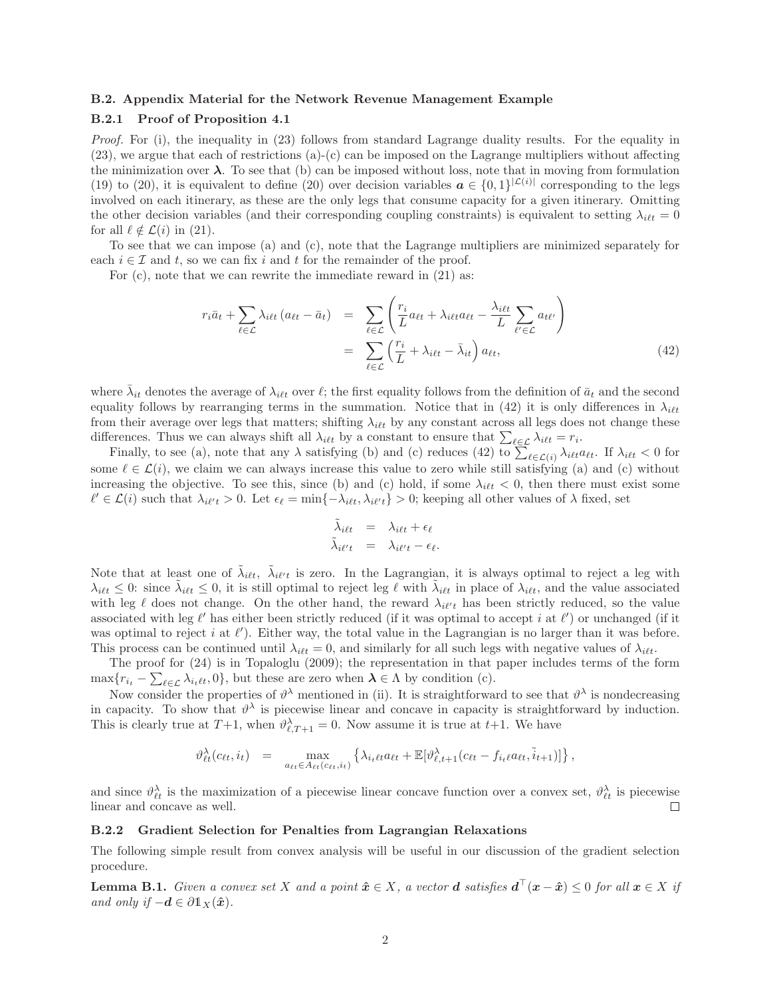#### **B.2. Appendix Material for the Network Revenue Management Example**

## **B.2.1 Proof of Proposition 4.1**

Proof. For (i), the inequality in (23) follows from standard Lagrange duality results. For the equality in (23), we argue that each of restrictions (a)-(c) can be imposed on the Lagrange multipliers without affecting the minimization over  $\lambda$ . To see that (b) can be imposed without loss, note that in moving from formulation (19) to (20), it is equivalent to define (20) over decision variables  $a \in \{0,1\}^{|\mathcal{L}(i)|}$  corresponding to the legs involved on each itinerary, as these are the only legs that consume capacity for a given itinerary. Omitting the other decision variables (and their corresponding coupling constraints) is equivalent to setting  $\lambda_{i\ell t} = 0$ for all  $\ell \notin \mathcal{L}(i)$  in (21).

To see that we can impose (a) and (c), note that the Lagrange multipliers are minimized separately for each  $i \in \mathcal{I}$  and t, so we can fix i and t for the remainder of the proof.

For (c), note that we can rewrite the immediate reward in (21) as:

$$
r_i \bar{a}_t + \sum_{\ell \in \mathcal{L}} \lambda_{i\ell t} \left( a_{\ell t} - \bar{a}_t \right) = \sum_{\ell \in \mathcal{L}} \left( \frac{r_i}{L} a_{\ell t} + \lambda_{i\ell t} a_{\ell t} - \frac{\lambda_{i\ell t}}{L} \sum_{\ell' \in \mathcal{L}} a_{t\ell'} \right)
$$

$$
= \sum_{\ell \in \mathcal{L}} \left( \frac{r_i}{L} + \lambda_{i\ell t} - \bar{\lambda}_{i\ell} \right) a_{\ell t}, \tag{42}
$$

where  $\bar{\lambda}_{it}$  denotes the average of  $\lambda_{i\ell t}$  over  $\ell$ ; the first equality follows from the definition of  $\bar{a}_t$  and the second equality follows by rearranging terms in the summation. Notice that in (42) it is only differences in  $\lambda_{i\ell t}$ from their average over legs that matters; shifting  $\lambda_{i\ell t}$  by any constant across all legs does not change these differences. Thus we can always shift all  $\lambda_{i\ell t}$  by a constant to ensure that  $\sum_{\ell \in \mathcal{L}} \lambda_{i\ell t} = r_i$ .

Finally, to see (a), note that any  $\lambda$  satisfying (b) and (c) reduces (42) to  $\sum_{\ell \in \mathcal{L}(i)} \lambda_{i\ell t} a_{\ell t}$ . If  $\lambda_{i\ell t} < 0$  for some  $\ell \in \mathcal{L}(i)$ , we claim we can always increase this value to zero while still satisfying (a) and (c) without increasing the objective. To see this, since (b) and (c) hold, if some  $\lambda_{i\ell t} < 0$ , then there must exist some  $\ell' \in \mathcal{L}(i)$  such that  $\lambda_{i\ell'} > 0$ . Let  $\epsilon_{\ell} = \min\{-\lambda_{i\ell t}, \lambda_{i\ell' t}\} > 0$ ; keeping all other values of  $\lambda$  fixed, set

$$
\begin{aligned}\n\tilde{\lambda}_{i\ell t} &= \lambda_{i\ell t} + \epsilon_{\ell} \\
\tilde{\lambda}_{i\ell' t} &= \lambda_{i\ell' t} - \epsilon_{\ell}.\n\end{aligned}
$$

Note that at least one of  $\tilde{\lambda}_{i\ell t}$ ,  $\tilde{\lambda}_{i\ell' t}$  is zero. In the Lagrangian, it is always optimal to reject a leg with  $\lambda_{i\ell t} \leq 0$ : since  $\tilde{\lambda}_{i\ell t} \leq 0$ , it is still optimal to reject leg  $\ell$  with  $\tilde{\lambda}_{i\ell t}$  in place of  $\lambda_{i\ell t}$ , and the value associated with leg  $\ell$  does not change. On the other hand, the reward  $\lambda_{i\ell' t}$  has been strictly reduced, so the value associated with leg  $\ell'$  has either been strictly reduced (if it was optimal to accept i at  $\ell'$ ) or unchanged (if it was optimal to reject i at  $\ell'$ ). Either way, the total value in the Lagrangian is no larger than it was before. This process can be continued until  $\lambda_{i\ell t} = 0$ , and similarly for all such legs with negative values of  $\lambda_{i\ell t}$ .

The proof for (24) is in Topaloglu (2009); the representation in that paper includes terms of the form  $\max\{r_{i_t} - \sum_{\ell \in \mathcal{L}} \lambda_{i_t \ell t}, 0\}$ , but these are zero when  $\lambda \in \Lambda$  by condition (c).

Now consider the properties of  $\vartheta^{\lambda}$  mentioned in (ii). It is straightforward to see that  $\vartheta^{\lambda}$  is nondecreasing in capacity. To show that  $\vartheta^{\lambda}$  is piecewise linear and concave in capacity is straightforward by induction. This is clearly true at  $T+1$ , when  $\vartheta_{\ell,T+1}^{\lambda} = 0$ . Now assume it is true at  $t+1$ . We have

$$
\vartheta_{\ell t}^{\lambda}(c_{\ell t}, i_t) = \max_{a_{\ell t} \in A_{\ell t}(c_{\ell t}, i_t)} \left\{ \lambda_{i_{\ell} \ell t} a_{\ell t} + \mathbb{E}[\vartheta_{\ell, t+1}^{\lambda}(c_{\ell t} - f_{i_{\ell} \ell} a_{\ell t}, \tilde{i}_{t+1})] \right\},
$$

and since  $\vartheta_{\ell t}^{\lambda}$  is the maximization of a piecewise linear concave function over a convex set,  $\vartheta_{\ell t}^{\lambda}$  is piecewise linear and concave as well.  $\Box$ 

## **B.2.2 Gradient Selection for Penalties from Lagrangian Relaxations**

The following simple result from convex analysis will be useful in our discussion of the gradient selection procedure.

**Lemma B.1.** Given a convex set X and a point  $\hat{x} \in X$ , a vector **d** satisfies  $d^{\top}(x - \hat{x}) \leq 0$  for all  $x \in X$  if and only if  $-\boldsymbol{d} \in \partial \mathbb{1}_X(\hat{\boldsymbol{x}})$ .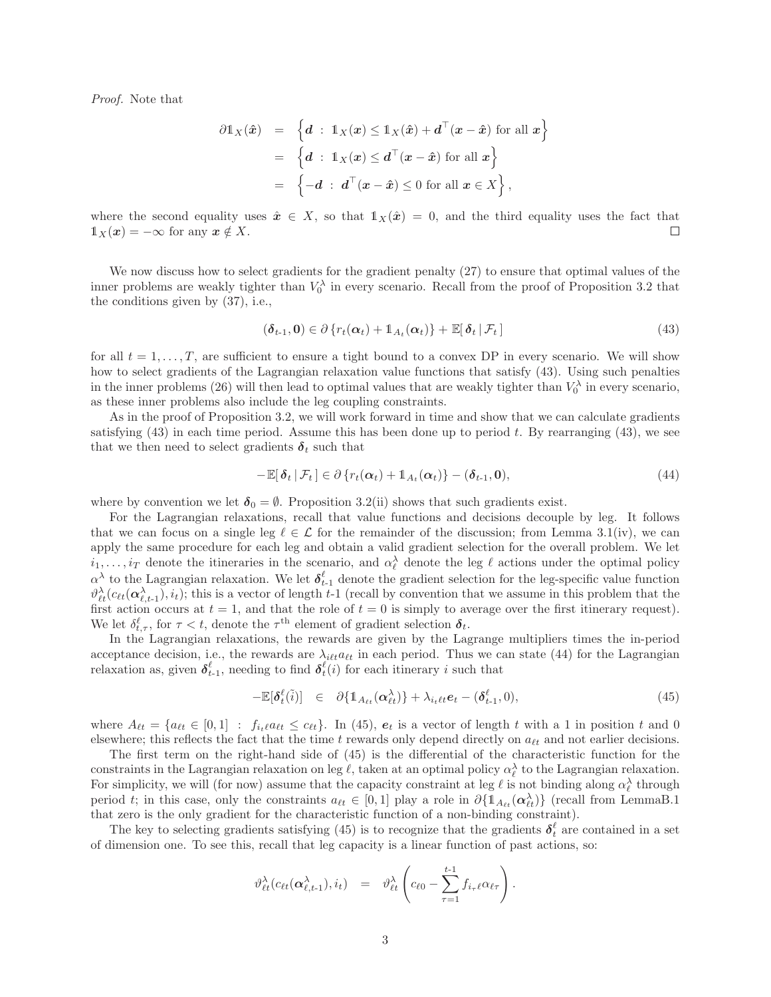Proof. Note that

$$
\partial \mathbb{1}_X(\hat{\boldsymbol{x}}) = \left\{ \boldsymbol{d} : \ \mathbb{1}_X(\boldsymbol{x}) \leq \mathbb{1}_X(\hat{\boldsymbol{x}}) + \boldsymbol{d}^\top(\boldsymbol{x} - \hat{\boldsymbol{x}}) \text{ for all } \boldsymbol{x} \right\}
$$

$$
= \left\{ \boldsymbol{d} : \ \mathbb{1}_X(\boldsymbol{x}) \leq \boldsymbol{d}^\top(\boldsymbol{x} - \hat{\boldsymbol{x}}) \text{ for all } \boldsymbol{x} \right\}
$$

$$
= \left\{ -\boldsymbol{d} : \ \boldsymbol{d}^\top(\boldsymbol{x} - \hat{\boldsymbol{x}}) \leq 0 \text{ for all } \boldsymbol{x} \in X \right\},
$$

where the second equality uses  $\hat{x} \in X$ , so that  $1_X(\hat{x}) = 0$ , and the third equality uses the fact that  $1\!\!1_X(\boldsymbol{x}) = -\infty$  for any  $\boldsymbol{x} \notin X$ .  $\Box$ 

We now discuss how to select gradients for the gradient penalty (27) to ensure that optimal values of the inner problems are weakly tighter than  $V_0^{\lambda}$  in every scenario. Recall from the proof of Proposition 3.2 that the conditions given by (37), i.e.,

$$
(\delta_{t-1},0) \in \partial \{r_t(\alpha_t) + \mathbb{1}_{A_t}(\alpha_t)\} + \mathbb{E}[\delta_t | \mathcal{F}_t]
$$
\n(43)

for all  $t = 1, \ldots, T$ , are sufficient to ensure a tight bound to a convex DP in every scenario. We will show how to select gradients of the Lagrangian relaxation value functions that satisfy (43). Using such penalties in the inner problems (26) will then lead to optimal values that are weakly tighter than  $V_0^{\lambda}$  in every scenario, as these inner problems also include the leg coupling constraints.

As in the proof of Proposition 3.2, we will work forward in time and show that we can calculate gradients satisfying  $(43)$  in each time period. Assume this has been done up to period t. By rearranging  $(43)$ , we see that we then need to select gradients  $\delta_t$  such that

$$
-\mathbb{E}[\delta_t | \mathcal{F}_t] \in \partial \{r_t(\alpha_t) + \mathbb{1}_{A_t}(\alpha_t)\} - (\delta_{t-1}, \mathbf{0}),
$$
\n(44)

where by convention we let  $\delta_0 = \emptyset$ . Proposition 3.2(ii) shows that such gradients exist.

For the Lagrangian relaxations, recall that value functions and decisions decouple by leg. It follows that we can focus on a single leg  $\ell \in \mathcal{L}$  for the remainder of the discussion; from Lemma 3.1(iv), we can apply the same procedure for each leg and obtain a valid gradient selection for the overall problem. We let  $i_1,\ldots,i_T$  denote the itineraries in the scenario, and  $\alpha_\ell^{\lambda}$  denote the leg  $\ell$  actions under the optimal policy  $\alpha^{\lambda}$  to the Lagrangian relaxation. We let  $\delta_{t-1}^{\ell}$  denote the gradient selection for the leg-specific value function  $\vartheta_{\ell t}^{\lambda}(c_{\ell t}(\boldsymbol{\alpha}_{\ell,t-1}^{\lambda}), i_t)$ ; this is a vector of length t-1 (recall by convention that we assume in this problem that the first action occurs at  $t = 1$ , and that the role of  $t = 0$  is simply to average over the first itinerary request). We let  $\delta_{t,\tau}^{\ell}$ , for  $\tau < t$ , denote the  $\tau^{\text{th}}$  element of gradient selection  $\delta_t$ .

In the Lagrangian relaxations, the rewards are given by the Lagrange multipliers times the in-period acceptance decision, i.e., the rewards are  $\lambda_{i\ell t} a_{\ell t}$  in each period. Thus we can state (44) for the Lagrangian relaxation as, given  $\delta_{t-1}^{\ell}$ , needing to find  $\delta_t^{\ell}(i)$  for each itinerary i such that

$$
-\mathbb{E}[\delta_t^{\ell}(\tilde{i})] \in \partial \{1_{A_{\ell t}}(\alpha_{\ell t}^{\lambda})\} + \lambda_{i_{t} \ell t} e_t - (\delta_{t-1}^{\ell}, 0), \tag{45}
$$

where  $A_{\ell t} = \{a_{\ell t} \in [0,1] : f_{i_t} \ell a_{\ell t} \leq c_{\ell t}\}\.$  In (45),  $e_t$  is a vector of length t with a 1 in position t and 0 elsewhere; this reflects the fact that the time  $t$  rewards only depend directly on  $a_{\ell t}$  and not earlier decisions.

The first term on the right-hand side of (45) is the differential of the characteristic function for the constraints in the Lagrangian relaxation on leg  $\ell$ , taken at an optimal policy  $\alpha_{\ell}^{\lambda}$  to the Lagrangian relaxation. For simplicity, we will (for now) assume that the capacity constraint at leg  $\ell$  is not binding along  $\alpha_{\ell}^{\lambda}$  through period t; in this case, only the constraints  $a_{\ell t} \in [0,1]$  play a role in  $\partial \{\mathbb{1}_{A_{\ell t}}(\alpha_{\ell t}^{\lambda})\}$  (recall from LemmaB.1) that zero is the only gradient for the characteristic function of a non-binding constraint).

The key to selecting gradients satisfying (45) is to recognize that the gradients  $\delta_t^{\ell}$  are contained in a set of dimension one. To see this, recall that leg capacity is a linear function of past actions, so:

$$
\vartheta_{\ell t}^{\lambda}(c_{\ell t}(\boldsymbol{\alpha}^{\lambda}_{\ell,t-1}),i_{t}) = \vartheta_{\ell t}^{\lambda}\left(c_{\ell 0}-\sum_{\tau=1}^{t-1}f_{i_{\tau}\ell}\alpha_{\ell \tau}\right).
$$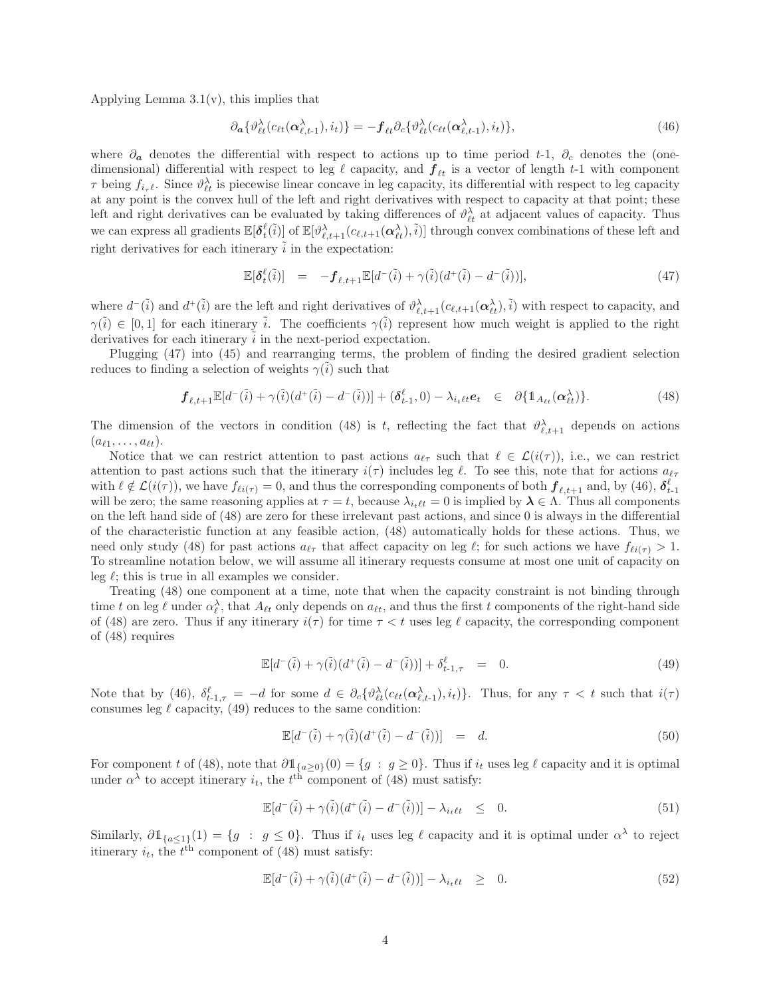Applying Lemma  $3.1(v)$ , this implies that

$$
\partial_{\boldsymbol{\alpha}} \{ \vartheta_{\ell t}^{\lambda} (c_{\ell t}(\boldsymbol{\alpha}_{\ell,t-1}^{\lambda}), i_t) \} = -\boldsymbol{f}_{\ell t} \partial_c \{ \vartheta_{\ell t}^{\lambda} (c_{\ell t}(\boldsymbol{\alpha}_{\ell,t-1}^{\lambda}), i_t) \},
$$
\n(46)

where  $\partial_{a}$  denotes the differential with respect to actions up to time period t-1,  $\partial_{c}$  denotes the (onedimensional) differential with respect to leg  $\ell$  capacity, and  $f_{\ell t}$  is a vector of length t-1 with component  $\tau$  being  $f_{i_\tau\ell}$ . Since  $\vartheta_{\ell t}^{\lambda}$  is piecewise linear concave in leg capacity, its differential with respect to leg capacity at any point is the convex hull of the left and right derivatives with respect to capacity at that point; these left and right derivatives can be evaluated by taking differences of  $\vartheta_{\ell t}^{\lambda}$  at adjacent values of capacity. Thus we can express all gradients  $\mathbb{E}[\delta_t^{\ell}(\tilde{i})]$  of  $\mathbb{E}[\vartheta_{\ell,t+1}^{\lambda}(c_{\ell,t+1}(\boldsymbol{\alpha}_{\ell t}^{\lambda}), \tilde{i})]$  through convex combinations of these left and right derivatives for each itinerary  $\tilde{i}$  in the expectation:

$$
\mathbb{E}[\delta_t^{\ell}(\tilde{i})] = -\boldsymbol{f}_{\ell,t+1} \mathbb{E}[d^-(\tilde{i}) + \gamma(\tilde{i})\big(d^+(\tilde{i}) - d^-(\tilde{i})\big)],\tag{47}
$$

where  $d^{-}(\tilde{i})$  and  $d^{+}(\tilde{i})$  are the left and right derivatives of  $\vartheta_{\ell,t+1}^{\lambda}(c_{\ell,t+1}(\alpha_{\ell t}^{\lambda}),\tilde{i})$  with respect to capacity, and  $\gamma(\tilde{i}) \in [0,1]$  for each itinerary  $\tilde{i}$ . The coefficients  $\gamma(\tilde{i})$  represent how much weight is applied to the right derivatives for each itinerary  $\tilde{i}$  in the next-period expectation.

Plugging (47) into (45) and rearranging terms, the problem of finding the desired gradient selection reduces to finding a selection of weights  $\gamma(i)$  such that

$$
\mathbf{f}_{\ell,t+1} \mathbb{E}[d^-(\tilde{i}) + \gamma(\tilde{i}) (d^+(\tilde{i}) - d^-(\tilde{i}))] + (\delta_{t-1}^{\ell}, 0) - \lambda_{i_{t} \ell t} \mathbf{e}_t \in \partial \{\mathbb{1}_{A_{\ell t}}(\alpha_{\ell t}^{\lambda})\}.
$$
 (48)

The dimension of the vectors in condition (48) is t, reflecting the fact that  $\vartheta^{\lambda}_{\ell,t+1}$  depends on actions  $(a_{\ell 1},\ldots,a_{\ell t}).$ 

Notice that we can restrict attention to past actions  $a_{\ell\tau}$  such that  $\ell \in \mathcal{L}(i(\tau))$ , i.e., we can restrict attention to past actions such that the itinerary  $i(\tau)$  includes leg  $\ell$ . To see this, note that for actions  $a_{\ell\tau}$ with  $\ell \notin \mathcal{L}(i(\tau))$ , we have  $f_{\ell i(\tau)} = 0$ , and thus the corresponding components of both  $\mathbf{f}_{\ell,t+1}$  and, by (46),  $\delta_{t-1}^{\ell}$ will be zero; the same reasoning applies at  $\tau = t$ , because  $\lambda_{i_t\ell t} = 0$  is implied by  $\lambda \in \Lambda$ . Thus all components on the left hand side of (48) are zero for these irrelevant past actions, and since 0 is always in the differential of the characteristic function at any feasible action, (48) automatically holds for these actions. Thus, we need only study (48) for past actions  $a_{\ell\tau}$  that affect capacity on leg  $\ell$ ; for such actions we have  $f_{\ell i(\tau)} > 1$ . To streamline notation below, we will assume all itinerary requests consume at most one unit of capacity on leg  $\ell$ ; this is true in all examples we consider.

Treating (48) one component at a time, note that when the capacity constraint is not binding through time t on leg  $\ell$  under  $\alpha_{\ell}^{\lambda}$ , that  $A_{\ell t}$  only depends on  $a_{\ell t}$ , and thus the first t components of the right-hand side of (48) are zero. Thus if any itinerary  $i(\tau)$  for time  $\tau < t$  uses leg  $\ell$  capacity, the corresponding component of (48) requires

$$
\mathbb{E}[d^-(\tilde{i}) + \gamma(\tilde{i})(d^+(\tilde{i}) - d^-(\tilde{i}))] + \delta_{t-1,\tau}^{\ell} = 0.
$$
\n(49)

Note that by (46),  $\delta_{t-1,\tau}^{\ell} = -d$  for some  $d \in \partial_c \{ \vartheta_{\ell t}^{\lambda}(c_{\ell t}(\alpha_{\ell,t-1}^{\lambda}), i_t) \}$ . Thus, for any  $\tau < t$  such that  $i(\tau)$ consumes leg  $\ell$  capacity, (49) reduces to the same condition:

$$
\mathbb{E}[d^-(\tilde{i}) + \gamma(\tilde{i})(d^+(\tilde{i}) - d^-(\tilde{i}))] = d.
$$
\n(50)

For component t of (48), note that  $\partial \mathbb{1}_{\{a\geq 0\}}(0) = \{g : g \geq 0\}$ . Thus if  $i_t$  uses leg  $\ell$  capacity and it is optimal under  $\alpha^{\lambda}$  to accept itinerary  $i_t$ , the  $t^{\text{th}}$  component of (48) must satisfy:

$$
\mathbb{E}[d^-(\tilde{i}) + \gamma(\tilde{i})(d^+(\tilde{i}) - d^-(\tilde{i}))] - \lambda_{i_t \ell t} \leq 0.
$$
\n(51)

Similarly,  $\partial \mathbb{1}_{\{a\leq 1\}}(1) = \{g : g \leq 0\}$ . Thus if  $i_t$  uses leg  $\ell$  capacity and it is optimal under  $\alpha^{\lambda}$  to reject itinerary  $i_t$ , the  $t^{\text{th}}$  component of (48) must satisfy:

$$
\mathbb{E}[d^-(\tilde{i}) + \gamma(\tilde{i})(d^+(\tilde{i}) - d^-(\tilde{i}))] - \lambda_{i_t\ell t} \geq 0.
$$
\n(52)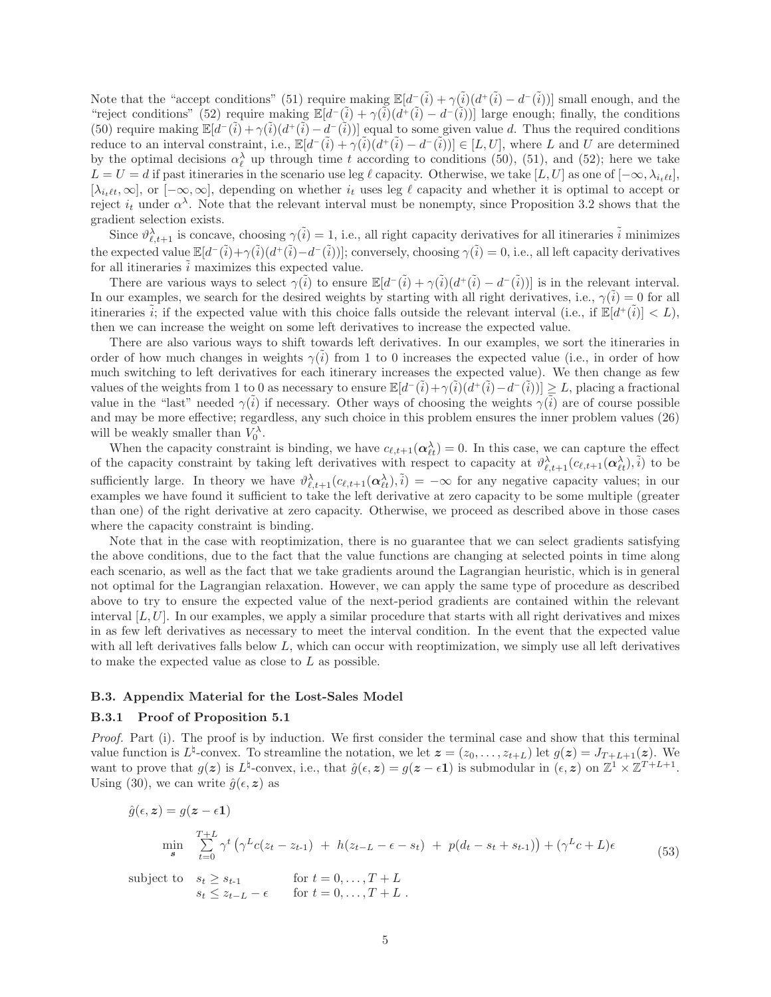Note that the "accept conditions" (51) require making  $\mathbb{E}[d^-(\tilde{i}) + \gamma(\tilde{i})(d^+(\tilde{i}) - d^-(\tilde{i}))]$  small enough, and the "reject conditions" (52) require making  $\mathbb{E}[d^-(\tilde{i}) + \gamma(\tilde{i})(d^+(\tilde{i}) - d^-(\tilde{i}))]$  large enough; finally, the conditions (50) require making  $\mathbb{E}[d^-(i) + \gamma(i)(d^+(i) - d^-(i))]$  equal to some given value d. Thus the required conditions reduce to an interval constraint, i.e.,  $\mathbb{E}[d^-(\tilde{i}) + \gamma(\tilde{i})\,d^+(\tilde{i}) - d^-(\tilde{i}))] \in [L, U]$ , where L and U are determined by the optimal decisions  $\alpha_{\ell}^{\lambda}$  up through time t according to conditions (50), (51), and (52); here we take  $L = U = d$  if past itineraries in the scenario use leg  $\ell$  capacity. Otherwise, we take  $[L, U]$  as one of  $[-\infty, \lambda_{i_{\ell}}]$ ,  $[\lambda_{i_t\ell t},\infty]$ , or  $[-\infty,\infty]$ , depending on whether  $i_t$  uses leg  $\ell$  capacity and whether it is optimal to accept or reject  $i_t$  under  $\alpha^{\lambda}$ . Note that the relevant interval must be nonempty, since Proposition 3.2 shows that the gradient selection exists.

Since  $\vartheta_{\ell,t+1}^{\lambda}$  is concave, choosing  $\gamma(\tilde{i}) = 1$ , i.e., all right capacity derivatives for all itineraries  $\tilde{i}$  minimizes the expected value  $\mathbb{E}[d^-(\tilde{i})+\gamma(\tilde{i})(d^+(\tilde{i})-d^-(\tilde{i}))]$ ; conversely, choosing  $\gamma(\tilde{i})=0$ , i.e., all left capacity derivatives for all itineraries  $\tilde{i}$  maximizes this expected value.

There are various ways to select  $\gamma(\tilde{i})$  to ensure  $\mathbb{E}[d^-(\tilde{i}) + \gamma(\tilde{i})(d^+(\tilde{i}) - d^-(\tilde{i}))]$  is in the relevant interval. In our examples, we search for the desired weights by starting with all right derivatives, i.e.,  $\gamma(\tilde{i}) = 0$  for all itineraries  $\tilde{i}$ ; if the expected value with this choice falls outside the relevant interval (i.e., if  $\mathbb{E}[d^+(\tilde{i})] < L$ ), then we can increase the weight on some left derivatives to increase the expected value.

There are also various ways to shift towards left derivatives. In our examples, we sort the itineraries in order of how much changes in weights  $\gamma(i)$  from 1 to 0 increases the expected value (i.e., in order of how much switching to left derivatives for each itinerary increases the expected value). We then change as few values of the weights from 1 to 0 as necessary to ensure  $\mathbb{E}[d^-(i)+\gamma(i)(d^+(i)-d^-(i))] \geq L$ , placing a fractional value in the "last" needed  $\gamma(i)$  if necessary. Other ways of choosing the weights  $\gamma(i)$  are of course possible and may be more effective; regardless, any such choice in this problem ensures the inner problem values (26) will be weakly smaller than  $V_0^{\lambda}$ .

When the capacity constraint is binding, we have  $c_{\ell,t+1}(\alpha_{\ell t}^{\lambda}) = 0$ . In this case, we can capture the effect of the capacity constraint by taking left derivatives with respect to capacity at  $\vartheta_{\ell,t+1}^{\lambda}(c_{\ell,t+1}(\boldsymbol{\alpha}_{\ell t}^{\lambda}),\tilde{i})$  to be sufficiently large. In theory we have  $\vartheta_{\ell,t+1}^{\lambda}(c_{\ell,t+1}(\alpha_{\ell t}^{\lambda}),\tilde{i}) = -\infty$  for any negative capacity values; in our examples we have found it sufficient to take the left derivative at zero capacity to be some multiple (greater than one) of the right derivative at zero capacity. Otherwise, we proceed as described above in those cases where the capacity constraint is binding.

Note that in the case with reoptimization, there is no guarantee that we can select gradients satisfying the above conditions, due to the fact that the value functions are changing at selected points in time along each scenario, as well as the fact that we take gradients around the Lagrangian heuristic, which is in general not optimal for the Lagrangian relaxation. However, we can apply the same type of procedure as described above to try to ensure the expected value of the next-period gradients are contained within the relevant interval  $[L, U]$ . In our examples, we apply a similar procedure that starts with all right derivatives and mixes in as few left derivatives as necessary to meet the interval condition. In the event that the expected value with all left derivatives falls below  $L$ , which can occur with reoptimization, we simply use all left derivatives to make the expected value as close to L as possible.

#### **B.3. Appendix Material for the Lost-Sales Model**

#### **B.3.1 Proof of Proposition 5.1**

Proof. Part (i). The proof is by induction. We first consider the terminal case and show that this terminal value function is  $L^{\sharp}$ -convex. To streamline the notation, we let  $\boldsymbol{z} = (z_0, \ldots, z_{t+L})$  let  $g(\boldsymbol{z}) = J_{T+L+1}(\boldsymbol{z})$ . We want to prove that  $g(z)$  is  $L^{\sharp}$ -convex, i.e., that  $\hat{g}(\epsilon, z) = g(z - \epsilon 1)$  is submodular in  $(\epsilon, z)$  on  $\mathbb{Z}^1 \times \mathbb{Z}^{T+L+1}$ . Using (30), we can write  $\hat{g}(\epsilon, z)$  as

$$
\hat{g}(\epsilon, \mathbf{z}) = g(\mathbf{z} - \epsilon \mathbf{1})
$$
\n
$$
\min_{\mathbf{s}} \sum_{t=0}^{T+L} \gamma^t \left( \gamma^L c(z_t - z_{t-1}) + h(z_{t-L} - \epsilon - s_t) + p(d_t - s_t + s_{t-1}) \right) + (\gamma^L c + L)\epsilon
$$
\n
$$
\text{subject to} \quad s_t \ge s_{t-1} \qquad \text{for } t = 0, \dots, T+L
$$
\n
$$
s_t \le z_{t-L} - \epsilon \qquad \text{for } t = 0, \dots, T+L
$$
\n(53)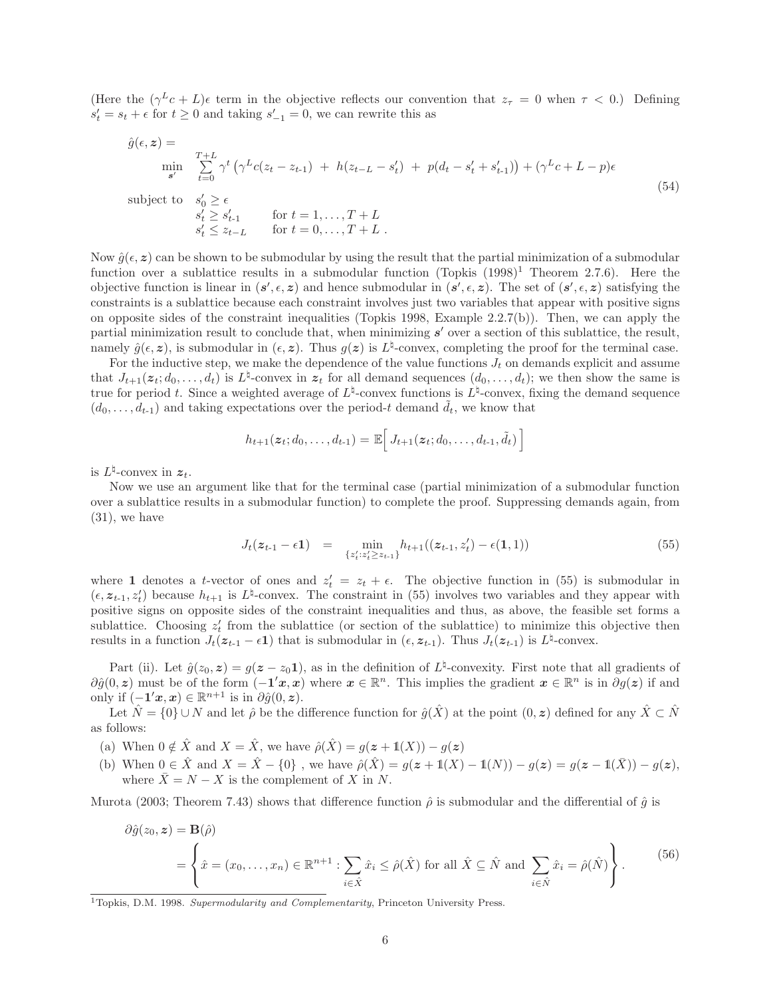(Here the  $(\gamma^L c + L)\epsilon$  term in the objective reflects our convention that  $z_\tau = 0$  when  $\tau < 0$ .) Defining  $s_t' = s_t + \epsilon$  for  $t \geq 0$  and taking  $s_{-1}' = 0$ , we can rewrite this as

$$
\hat{g}(\epsilon, z) = \min_{\mathbf{S}^{\prime}} \sum_{t=0}^{T+L} \gamma^{t} \left( \gamma^{L} c(z_{t} - z_{t-1}) + h(z_{t-L} - s'_{t}) + p(d_{t} - s'_{t} + s'_{t-1}) \right) + (\gamma^{L} c + L - p)\epsilon
$$
\nsubject to\n
$$
s'_{0} \geq \epsilon
$$
\n
$$
s'_{t} \geq s'_{t-1} \qquad \text{for } t = 1, ..., T + L
$$
\n
$$
s'_{t} \leq z_{t-L} \qquad \text{for } t = 0, ..., T + L
$$
\n(54)

Now  $\hat{q}(\epsilon, z)$  can be shown to be submodular by using the result that the partial minimization of a submodular function over a sublattice results in a submodular function (Topkis  $(1998)^1$  Theorem 2.7.6). Here the objective function is linear in  $(s', \epsilon, z)$  and hence submodular in  $(s', \epsilon, z)$ . The set of  $(s', \epsilon, z)$  satisfying the constraints is a sublattice because each constraint involves just two variables that appear with positive signs on opposite sides of the constraint inequalities (Topkis 1998, Example 2.2.7(b)). Then, we can apply the partial minimization result to conclude that, when minimizing *s'* over a section of this sublattice, the result, namely  $\hat{g}(\epsilon, z)$ , is submodular in  $(\epsilon, z)$ . Thus  $g(z)$  is  $L^{\sharp}$ -convex, completing the proof for the terminal case.

For the inductive step, we make the dependence of the value functions  $J_t$  on demands explicit and assume that  $J_{t+1}(z_t; d_0, \ldots, d_t)$  is  $L^{\sharp}$ -convex in  $z_t$  for all demand sequences  $(d_0, \ldots, d_t)$ ; we then show the same is true for period t. Since a weighted average of  $L^{\sharp}$ -convex functions is  $L^{\sharp}$ -convex, fixing the demand sequence  $(d_0, \ldots, d_{t-1})$  and taking expectations over the period-t demand  $\tilde{d}_t$ , we know that

$$
h_{t+1}(\boldsymbol{z}_t; d_0, \ldots, d_{t-1}) = \mathbb{E}\Big[\, J_{t+1}(\boldsymbol{z}_t; d_0, \ldots, d_{t-1}, \tilde{d}_t)\,\Big]
$$

is  $L^{\natural}$ -convex in  $z_t$ .

Now we use an argument like that for the terminal case (partial minimization of a submodular function over a sublattice results in a submodular function) to complete the proof. Suppressing demands again, from  $(31)$ , we have

$$
J_t(z_{t-1} - \epsilon \mathbf{1}) = \min_{\{z'_t: z'_t \ge z_{t-1}\}} h_{t+1}((z_{t-1}, z'_t) - \epsilon(\mathbf{1}, 1))
$$
(55)

where **1** denotes a t-vector of ones and  $z'_t = z_t + \epsilon$ . The objective function in (55) is submodular in  $(\epsilon, z_{t-1}, z_t)$  because  $h_{t+1}$  is  $L^{\natural}$ -convex. The constraint in (55) involves two variables and they appear with positive signs on opposite sides of the constraint inequalities and thus, as above, the feasible set forms a sublattice. Choosing  $z_t'$  from the sublattice (or section of the sublattice) to minimize this objective then results in a function  $J_t(z_{t-1} - \epsilon \mathbf{1})$  that is submodular in  $(\epsilon, z_{t-1})$ . Thus  $J_t(z_{t-1})$  is  $L^{\natural}$ -convex.

Part (ii). Let  $\hat{q}(z_0, z) = q(z - z_0, z_1)$ , as in the definition of  $L^{\natural}$ -convexity. First note that all gradients of  $\partial \hat{g}(0, z)$  must be of the form  $(-1'x, x)$  where  $x \in \mathbb{R}^n$ . This implies the gradient  $x \in \mathbb{R}^n$  is in  $\partial g(z)$  if and only if  $(-1'x, x) \in \mathbb{R}^{n+1}$  is in  $\partial \hat{g}(0, z)$ .

Let  $\hat{N} = \{0\} \cup N$  and let  $\hat{\rho}$  be the difference function for  $\hat{g}(\hat{X})$  at the point  $(0, z)$  defined for any  $\hat{X} \subset \hat{N}$ as follows:

- (a) When  $0 \notin \hat{X}$  and  $X = \hat{X}$ , we have  $\hat{\rho}(\hat{X}) = g(z + 1(X)) g(z)$
- (b) When  $0 \in \hat{X}$  and  $X = \hat{X} \{0\}$ , we have  $\hat{\rho}(\hat{X}) = g(z + 1(X) 1(N)) g(z) = g(z 1(\bar{X})) g(z)$ , where  $\bar{X} = N - X$  is the complement of X in N.

Murota (2003; Theorem 7.43) shows that difference function  $\hat{\rho}$  is submodular and the differential of  $\hat{g}$  is

$$
\partial \hat{g}(z_0, \mathbf{z}) = \mathbf{B}(\hat{\rho})
$$
  
=  $\left\{ \hat{x} = (x_0, \dots, x_n) \in \mathbb{R}^{n+1} : \sum_{i \in \hat{X}} \hat{x}_i \le \hat{\rho}(\hat{X}) \text{ for all } \hat{X} \subseteq \hat{N} \text{ and } \sum_{i \in \hat{N}} \hat{x}_i = \hat{\rho}(\hat{N}) \right\}.$  (56)

<sup>1</sup>Topkis, D.M. 1998. Supermodularity and Complementarity, Princeton University Press.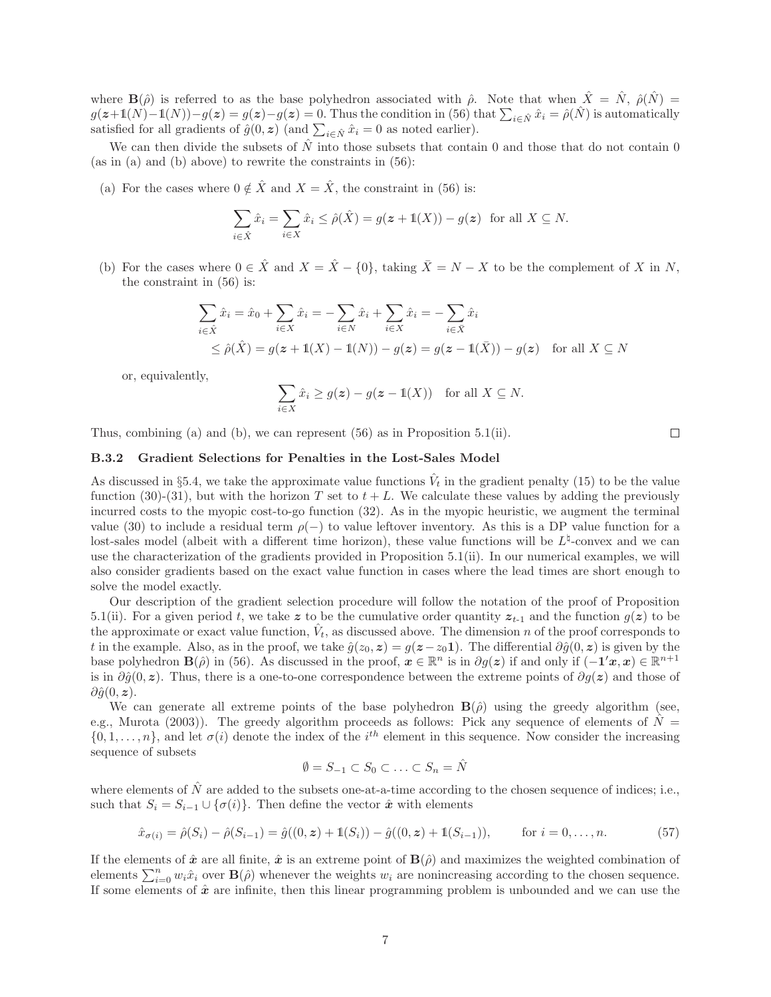where  $\mathbf{B}(\hat{\rho})$  is referred to as the base polyhedron associated with  $\hat{\rho}$ . Note that when  $\hat{X} = \hat{N}$ ,  $\hat{\rho}(\hat{N}) =$  $g(z+1(N)-1(N))-g(z)=g(z)-g(z)=0.$  Thus the condition in (56) that  $\sum_{i\in\hat{N}}\hat{x}_i=\hat{\rho}(\hat{N})$  is automatically satisfied for all gradients of  $\hat{g}(0, z)$  (and  $\sum_{i \in \hat{N}} \hat{x}_i = 0$  as noted earlier).

We can then divide the subsets of  $\tilde{N}$  into those subsets that contain 0 and those that do not contain 0 (as in (a) and (b) above) to rewrite the constraints in (56):

(a) For the cases where  $0 \notin \hat{X}$  and  $X = \hat{X}$ , the constraint in (56) is:

$$
\sum_{i \in \hat{X}} \hat{x}_i = \sum_{i \in X} \hat{x}_i \le \hat{\rho}(\hat{X}) = g(\boldsymbol{z} + \mathbb{1}(X)) - g(\boldsymbol{z}) \text{ for all } X \subseteq N.
$$

(b) For the cases where  $0 \in \hat{X}$  and  $X = \hat{X} - \{0\}$ , taking  $\bar{X} = N - X$  to be the complement of X in N, the constraint in (56) is:

$$
\sum_{i \in \hat{X}} \hat{x}_i = \hat{x}_0 + \sum_{i \in X} \hat{x}_i = -\sum_{i \in N} \hat{x}_i + \sum_{i \in X} \hat{x}_i = -\sum_{i \in \bar{X}} \hat{x}_i
$$
  
\n
$$
\leq \hat{\rho}(\hat{X}) = g(z + 1(X) - 1(N)) - g(z) = g(z - 1(\bar{X})) - g(z) \quad \text{for all } X \subseteq N
$$

or, equivalently,

$$
\sum_{i \in X} \hat{x}_i \ge g(\boldsymbol{z}) - g(\boldsymbol{z} - \mathbb{1}(X)) \quad \text{for all } X \subseteq N.
$$

Thus, combining (a) and (b), we can represent  $(56)$  as in Proposition 5.1(ii).

# $\Box$

## **B.3.2 Gradient Selections for Penalties in the Lost-Sales Model**

As discussed in §5.4, we take the approximate value functions  $V_t$  in the gradient penalty (15) to be the value function (30)-(31), but with the horizon T set to  $t + L$ . We calculate these values by adding the previously incurred costs to the myopic cost-to-go function (32). As in the myopic heuristic, we augment the terminal value (30) to include a residual term  $\rho(-)$  to value leftover inventory. As this is a DP value function for a lost-sales model (albeit with a different time horizon), these value functions will be  $L^{\sharp}$ -convex and we can use the characterization of the gradients provided in Proposition 5.1(ii). In our numerical examples, we will also consider gradients based on the exact value function in cases where the lead times are short enough to solve the model exactly.

Our description of the gradient selection procedure will follow the notation of the proof of Proposition 5.1(ii). For a given period t, we take z to be the cumulative order quantity  $z_{t-1}$  and the function  $g(z)$  to be the approximate or exact value function,  $V_t$ , as discussed above. The dimension n of the proof corresponds to t in the example. Also, as in the proof, we take  $\hat{g}(z_0, z) = g(z - z_0, 1)$ . The differential  $\partial \hat{g}(0, z)$  is given by the base polyhedron **B**( $\hat{\rho}$ ) in (56). As discussed in the proof,  $\mathbf{x} \in \mathbb{R}^n$  is in  $\partial g(\mathbf{z})$  if and only if  $(-\mathbf{1}^{\prime}\mathbf{x}, \mathbf{x}) \in \mathbb{R}^{n+1}$ is in  $\partial \hat{g}(0, z)$ . Thus, there is a one-to-one correspondence between the extreme points of  $\partial g(z)$  and those of  $\partial \hat{g}(0, z)$ .

We can generate all extreme points of the base polyhedron  $\mathbf{B}(\hat{\rho})$  using the greedy algorithm (see, e.g., Murota (2003)). The greedy algorithm proceeds as follows: Pick any sequence of elements of  $\hat{N} =$  $\{0,1,\ldots,n\}$ , and let  $\sigma(i)$  denote the index of the i<sup>th</sup> element in this sequence. Now consider the increasing sequence of subsets

$$
\emptyset = S_{-1} \subset S_0 \subset \ldots \subset S_n = \hat{N}
$$

where elements of  $\hat{N}$  are added to the subsets one-at-a-time according to the chosen sequence of indices; i.e., such that  $S_i = S_{i-1} \cup {\{\sigma(i)\}}$ . Then define the vector  $\hat{x}$  with elements

$$
\hat{x}_{\sigma(i)} = \hat{\rho}(S_i) - \hat{\rho}(S_{i-1}) = \hat{g}((0, \mathbf{z}) + \mathbb{1}(S_i)) - \hat{g}((0, \mathbf{z}) + \mathbb{1}(S_{i-1})), \quad \text{for } i = 0, \dots, n.
$$
 (57)

If the elements of  $\hat{x}$  are all finite,  $\hat{x}$  is an extreme point of  $\mathbf{B}(\hat{\rho})$  and maximizes the weighted combination of elements  $\sum_{i=0}^{n} w_i \hat{x}_i$  over  $\mathbf{B}(\hat{\rho})$  whenever the weights  $w_i$  are nonincreasing according to the chosen sequence. If some elements of  $\hat{x}$  are infinite, then this linear programming problem is unbounded and we can use the